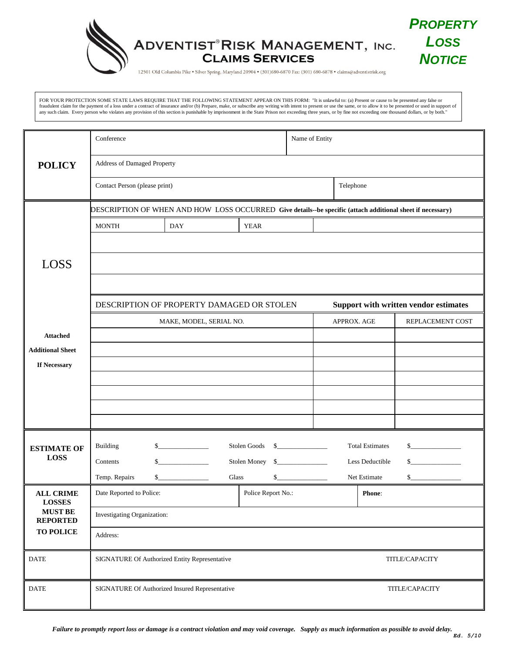

FOR YOUR PROTECTION SOME STATE LAWS REQUIRE THAT THE FOLLOWING STATEMENT APPEAR ON THIS FORM: "It is unlawful to: (a) Present or cause to be presented any false or fraudulent claim for the payment of a loss under a contract of insurance and/or (b) Prepare, make, or subscribe any writing with intent to present or use the same, or to allow it to be presented or used in support of any such claim. Every person who violates any provision of this section is punishable by imprisonment in the State Prison not exceeding three years, or by fine not exceeding one thousand dollars, or by both."

|                                                                        | Conference                                                                                                 |            |                    | Name of Entity |                                       |                        |                  |  |
|------------------------------------------------------------------------|------------------------------------------------------------------------------------------------------------|------------|--------------------|----------------|---------------------------------------|------------------------|------------------|--|
| <b>POLICY</b>                                                          | Address of Damaged Property                                                                                |            |                    |                |                                       |                        |                  |  |
|                                                                        | Contact Person (please print)                                                                              |            |                    |                | Telephone                             |                        |                  |  |
|                                                                        | DESCRIPTION OF WHEN AND HOW LOSS OCCURRED Give details--be specific (attach additional sheet if necessary) |            |                    |                |                                       |                        |                  |  |
|                                                                        | <b>MONTH</b>                                                                                               | <b>DAY</b> | <b>YEAR</b>        |                |                                       |                        |                  |  |
|                                                                        |                                                                                                            |            |                    |                |                                       |                        |                  |  |
| <b>LOSS</b>                                                            |                                                                                                            |            |                    |                |                                       |                        |                  |  |
|                                                                        |                                                                                                            |            |                    |                |                                       |                        |                  |  |
|                                                                        | DESCRIPTION OF PROPERTY DAMAGED OR STOLEN                                                                  |            |                    |                | Support with written vendor estimates |                        |                  |  |
|                                                                        | MAKE, MODEL, SERIAL NO.                                                                                    |            |                    |                | APPROX. AGE                           |                        | REPLACEMENT COST |  |
| <b>Attached</b><br><b>Additional Sheet</b>                             |                                                                                                            |            |                    |                |                                       |                        |                  |  |
| If Necessary                                                           |                                                                                                            |            |                    |                |                                       |                        |                  |  |
|                                                                        |                                                                                                            |            |                    |                |                                       |                        |                  |  |
|                                                                        |                                                                                                            |            |                    |                |                                       |                        |                  |  |
|                                                                        |                                                                                                            |            |                    |                |                                       |                        |                  |  |
| <b>ESTIMATE OF</b><br><b>LOSS</b>                                      | Building                                                                                                   | s          | Stolen Goods \$    |                |                                       | <b>Total Estimates</b> | s                |  |
|                                                                        | $\sim$<br>Contents                                                                                         |            |                    |                | s<br>Less Deductible                  |                        |                  |  |
|                                                                        | Temp. Repairs<br>$\sim$<br>Glass<br>$S_{-}$                                                                |            |                    |                | \$<br>Net Estimate                    |                        |                  |  |
| <b>ALL CRIME</b><br><b>LOSSES</b><br><b>MUST BE</b><br><b>REPORTED</b> | Date Reported to Police:                                                                                   |            | Police Report No.: |                |                                       | <b>Phone:</b>          |                  |  |
|                                                                        | Investigating Organization:                                                                                |            |                    |                |                                       |                        |                  |  |
| TO POLICE                                                              | Address:                                                                                                   |            |                    |                |                                       |                        |                  |  |
| <b>DATE</b>                                                            | SIGNATURE Of Authorized Entity Representative<br>TITLE/CAPACITY                                            |            |                    |                |                                       |                        |                  |  |
| <b>DATE</b>                                                            | SIGNATURE Of Authorized Insured Representative                                                             |            |                    |                | TITLE/CAPACITY                        |                        |                  |  |